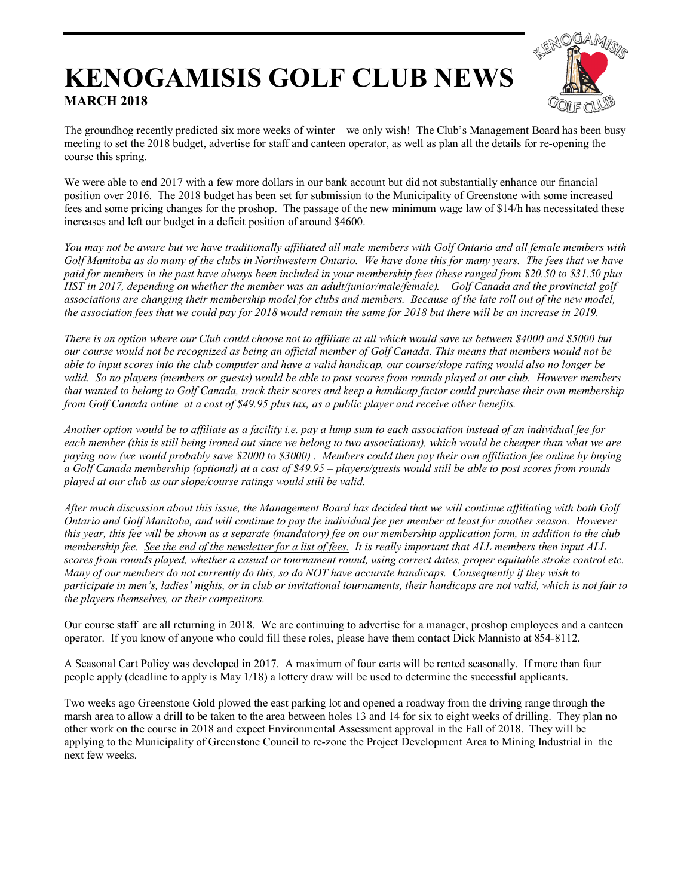## **KENOGAMISIS GOLF CLUB NEWS MARCH 2018**



The groundhog recently predicted six more weeks of winter – we only wish! The Club's Management Board has been busy meeting to set the 2018 budget, advertise for staff and canteen operator, as well as plan all the details for re-opening the course this spring.

We were able to end 2017 with a few more dollars in our bank account but did not substantially enhance our financial position over 2016. The 2018 budget has been set for submission to the Municipality of Greenstone with some increased fees and some pricing changes for the proshop. The passage of the new minimum wage law of \$14/h has necessitated these increases and left our budget in a deficit position of around \$4600.

You may not be aware but we have traditionally affiliated all male members with Golf Ontario and all female members with *Golf Manitoba as do many of the clubs in Northwestern Ontario. We have done this for many years. The fees that we have paid for members in the past have always been included in your membership fees (these ranged from \$20.50 to \$31.50 plus HST in 2017, depending on whether the member was an adult/junior/male/female).* Golf Canada and the provincial golf *associations are changing their membership model for clubs and members. Because of the late roll out of the new model, the association fees that we could pay for 2018 would remain the same for 2018 but there will be an increase in 2019.* 

*There is an option where our Club could choose not to affiliate at all which would save us between \$4000 and \$5000 but our course would not be recognized as being an official member of Golf Canada. This means that members would not be able to input scores into the club computer and have a valid handicap, our course/slope rating would also no longer be valid. So no players (members or guests) would be able to post scores from rounds played at our club. However members that wanted to belong to Golf Canada, track their scores and keep a handicap factor could purchase their own membership from Golf Canada online at a cost of \$49.95 plus tax, as a public player and receive other benefits.* 

*Another option would be to affiliate as a facility i.e. pay a lump sum to each association instead of an individual fee for each member (this is still being ironed out since we belong to two associations), which would be cheaper than what we are paying now (we would probably save \$2000 to \$3000) . Members could then pay their own affiliation fee online by buying a Golf Canada membership (optional) at a cost of \$49.95 – players/guests would still be able to post scores from rounds played at our club as our slope/course ratings would still be valid.* 

*After much discussion about this issue, the Management Board has decided that we will continue affiliating with both Golf Ontario and Golf Manitoba, and will continue to pay the individual fee per member at least for another season. However this year, this fee will be shown as a separate (mandatory) fee on our membership application form, in addition to the club membership fee. See the end of the newsletter for a list of fees. It is really important that ALL members then input ALL scores from rounds played, whether a casual or tournament round, using correct dates, proper equitable stroke control etc. Many of our members do not currently do this, so do NOT have accurate handicaps. Consequently if they wish to participate in men's, ladies' nights, or in club or invitational tournaments, their handicaps are not valid, which is not fair to the players themselves, or their competitors.* 

Our course staff are all returning in 2018. We are continuing to advertise for a manager, proshop employees and a canteen operator. If you know of anyone who could fill these roles, please have them contact Dick Mannisto at 854-8112.

A Seasonal Cart Policy was developed in 2017. A maximum of four carts will be rented seasonally. If more than four people apply (deadline to apply is May 1/18) a lottery draw will be used to determine the successful applicants.

Two weeks ago Greenstone Gold plowed the east parking lot and opened a roadway from the driving range through the marsh area to allow a drill to be taken to the area between holes 13 and 14 for six to eight weeks of drilling. They plan no other work on the course in 2018 and expect Environmental Assessment approval in the Fall of 2018. They will be applying to the Municipality of Greenstone Council to re-zone the Project Development Area to Mining Industrial in the next few weeks.